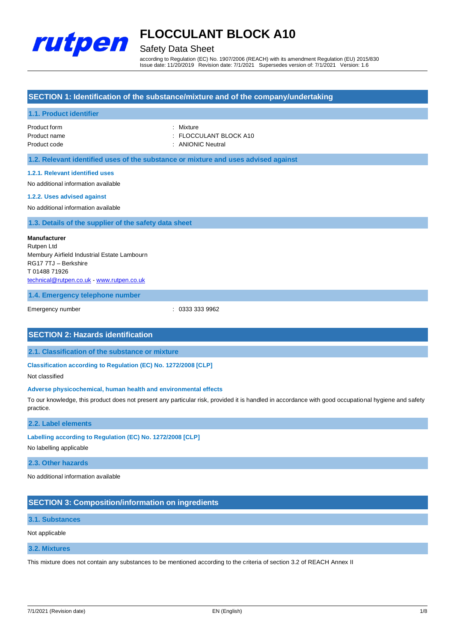

# Safety Data Sheet

according to Regulation (EC) No. 1907/2006 (REACH) with its amendment Regulation (EU) 2015/830 Issue date: 11/20/2019 Revision date: 7/1/2021 Supersedes version of: 7/1/2021 Version: 1.6

# **SECTION 1: Identification of the substance/mixture and of the company/undertaking**

## **1.1. Product identifier**

| Product form | : Mixture              |
|--------------|------------------------|
| Product name | : FLOCCULANT BLOCK A10 |
| Product code | : ANIONIC Neutral      |

**1.2. Relevant identified uses of the substance or mixture and uses advised against**

### **1.2.1. Relevant identified uses**

No additional information available

#### **1.2.2. Uses advised against**

No additional information available

# **1.3. Details of the supplier of the safety data sheet**

**Manufacturer** Rutpen Ltd Membury Airfield Industrial Estate Lambourn RG17 7TJ – Berkshire T 01488 71926 [technical@rutpen.co.uk](mailto:technical@rutpen.co.uk) - [www.rutpen.co.uk](http://www.rutpen.co.uk/)

### **1.4. Emergency telephone number**

Emergency number : 0333 333 9962

# **SECTION 2: Hazards identification**

**2.1. Classification of the substance or mixture**

**Classification according to Regulation (EC) No. 1272/2008 [CLP]**

Not classified

### **Adverse physicochemical, human health and environmental effects**

To our knowledge, this product does not present any particular risk, provided it is handled in accordance with good occupational hygiene and safety practice.

### **2.2. Label elements**

# **Labelling according to Regulation (EC) No. 1272/2008 [CLP]**

No labelling applicable

### **2.3. Other hazards**

No additional information available

# **SECTION 3: Composition/information on ingredients**

#### **3.1. Substances**

Not applicable

#### **3.2. Mixtures**

This mixture does not contain any substances to be mentioned according to the criteria of section 3.2 of REACH Annex II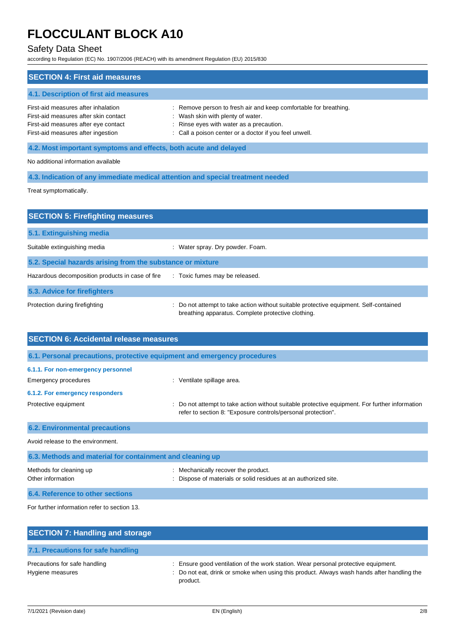# Safety Data Sheet

according to Regulation (EC) No. 1907/2006 (REACH) with its amendment Regulation (EU) 2015/830

| <b>SECTION 4: First aid measures</b>                                                                                                                       |                                                                                                                                                                                                             |
|------------------------------------------------------------------------------------------------------------------------------------------------------------|-------------------------------------------------------------------------------------------------------------------------------------------------------------------------------------------------------------|
| 4.1. Description of first aid measures                                                                                                                     |                                                                                                                                                                                                             |
| First-aid measures after inhalation<br>First-aid measures after skin contact<br>First-aid measures after eye contact<br>First-aid measures after ingestion | : Remove person to fresh air and keep comfortable for breathing.<br>: Wash skin with plenty of water.<br>: Rinse eyes with water as a precaution.<br>: Call a poison center or a doctor if you feel unwell. |
| 4.2. Most important symptoms and effects, both acute and delayed                                                                                           |                                                                                                                                                                                                             |
| No additional information available                                                                                                                        |                                                                                                                                                                                                             |
|                                                                                                                                                            | 4.3. Indication of any immediate medical attention and special treatment needed                                                                                                                             |
|                                                                                                                                                            |                                                                                                                                                                                                             |

Treat symptomatically.

| <b>SECTION 5: Firefighting measures</b>                    |                                                                                                                                             |  |  |
|------------------------------------------------------------|---------------------------------------------------------------------------------------------------------------------------------------------|--|--|
| 5.1. Extinguishing media                                   |                                                                                                                                             |  |  |
| Suitable extinguishing media                               | Water spray. Dry powder. Foam.                                                                                                              |  |  |
| 5.2. Special hazards arising from the substance or mixture |                                                                                                                                             |  |  |
| Hazardous decomposition products in case of fire           | : Toxic fumes may be released.                                                                                                              |  |  |
| 5.3. Advice for firefighters                               |                                                                                                                                             |  |  |
| Protection during firefighting                             | : Do not attempt to take action without suitable protective equipment. Self-contained<br>breathing apparatus. Complete protective clothing. |  |  |

| <b>SECTION 6: Accidental release measures</b>                            |                                                                                                                                                                |
|--------------------------------------------------------------------------|----------------------------------------------------------------------------------------------------------------------------------------------------------------|
| 6.1. Personal precautions, protective equipment and emergency procedures |                                                                                                                                                                |
| 6.1.1. For non-emergency personnel                                       |                                                                                                                                                                |
| Emergency procedures                                                     | : Ventilate spillage area.                                                                                                                                     |
| 6.1.2. For emergency responders                                          |                                                                                                                                                                |
| Protective equipment                                                     | : Do not attempt to take action without suitable protective equipment. For further information<br>refer to section 8: "Exposure controls/personal protection". |
| <b>6.2. Environmental precautions</b>                                    |                                                                                                                                                                |
| Avoid release to the environment.                                        |                                                                                                                                                                |
| 6.3. Methods and material for containment and cleaning up                |                                                                                                                                                                |
| Methods for cleaning up<br>Other information                             | : Mechanically recover the product.<br>Dispose of materials or solid residues at an authorized site.                                                           |
| 6.4. Reference to other sections                                         |                                                                                                                                                                |

For further information refer to section 13.

| <b>SECTION 7: Handling and storage</b>            |                                                                                                                                                                                              |
|---------------------------------------------------|----------------------------------------------------------------------------------------------------------------------------------------------------------------------------------------------|
| 7.1. Precautions for safe handling                |                                                                                                                                                                                              |
| Precautions for safe handling<br>Hygiene measures | : Ensure good ventilation of the work station. Wear personal protective equipment.<br>: Do not eat, drink or smoke when using this product. Always wash hands after handling the<br>product. |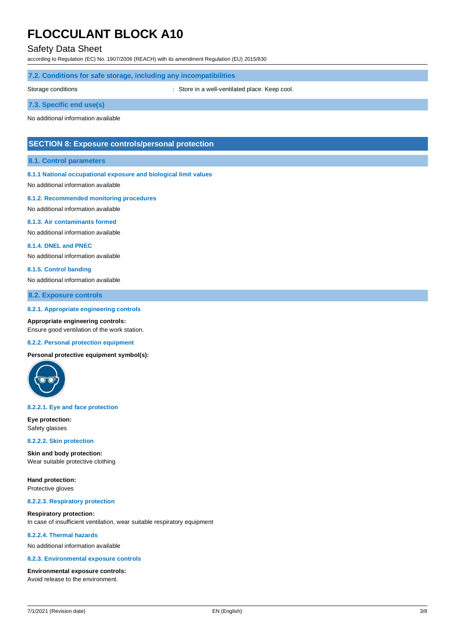# Safety Data Sheet

according to Regulation (EC) No. 1907/2006 (REACH) with its amendment Regulation (EU) 2015/830

## **7.2. Conditions for safe storage, including any incompatibilities**

Storage conditions **Storage conditions** : Store in a well-ventilated place. Keep cool.

# **7.3. Specific end use(s)**

No additional information available

# **SECTION 8: Exposure controls/personal protection**

### **8.1. Control parameters**

### **8.1.1 National occupational exposure and biological limit values**

No additional information available

#### **8.1.2. Recommended monitoring procedures**

No additional information available

#### **8.1.3. Air contaminants formed**

No additional information available

#### **8.1.4. DNEL and PNEC**

No additional information available

#### **8.1.5. Control banding**

No additional information available

## **8.2. Exposure controls**

#### **8.2.1. Appropriate engineering controls**

**Appropriate engineering controls:** Ensure good ventilation of the work station.

#### **8.2.2. Personal protection equipment**

**Personal protective equipment symbol(s):**



#### **8.2.2.1. Eye and face protection**

**Eye protection:** Safety glasses

#### **8.2.2.2. Skin protection**

**Skin and body protection:** Wear suitable protective clothing

**Hand protection:** Protective gloves

#### **8.2.2.3. Respiratory protection**

**Respiratory protection:** In case of insufficient ventilation, wear suitable respiratory equipment

## **8.2.2.4. Thermal hazards**

No additional information available

#### **8.2.3. Environmental exposure controls**

#### **Environmental exposure controls:**

Avoid release to the environment.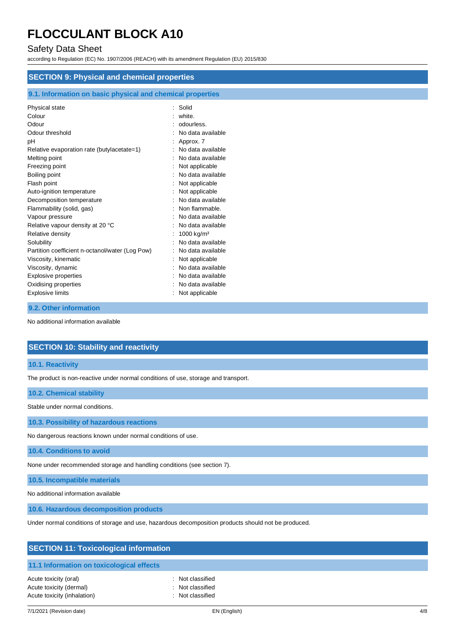# Safety Data Sheet

according to Regulation (EC) No. 1907/2006 (REACH) with its amendment Regulation (EU) 2015/830

| <b>SECTION 9: Physical and chemical properties</b>         |                       |  |  |  |
|------------------------------------------------------------|-----------------------|--|--|--|
| 9.1. Information on basic physical and chemical properties |                       |  |  |  |
| Physical state                                             | Solid                 |  |  |  |
| Colour                                                     | white.                |  |  |  |
| Odour                                                      | odourless.            |  |  |  |
| Odour threshold                                            | No data available     |  |  |  |
| рH                                                         | Approx. 7             |  |  |  |
| Relative evaporation rate (butylacetate=1)                 | No data available     |  |  |  |
| Melting point                                              | No data available     |  |  |  |
| Freezing point                                             | Not applicable        |  |  |  |
| Boiling point                                              | No data available     |  |  |  |
| Flash point                                                | Not applicable        |  |  |  |
| Auto-ignition temperature                                  | Not applicable        |  |  |  |
| Decomposition temperature                                  | No data available     |  |  |  |
| Flammability (solid, gas)                                  | Non flammable.        |  |  |  |
| Vapour pressure                                            | No data available     |  |  |  |
| Relative vapour density at 20 °C                           | No data available     |  |  |  |
| Relative density                                           | $1000 \text{ kg/m}^3$ |  |  |  |
| Solubility                                                 | No data available     |  |  |  |
| Partition coefficient n-octanol/water (Log Pow)            | No data available     |  |  |  |
| Viscosity, kinematic                                       | Not applicable        |  |  |  |
| Viscosity, dynamic                                         | No data available     |  |  |  |
| <b>Explosive properties</b>                                | No data available     |  |  |  |
| Oxidising properties                                       | No data available     |  |  |  |
| <b>Explosive limits</b>                                    | Not applicable        |  |  |  |

#### **9.2. Other information**

No additional information available

# **SECTION 10: Stability and reactivity**

# **10.1. Reactivity**

The product is non-reactive under normal conditions of use, storage and transport.

### **10.2. Chemical stability**

Stable under normal conditions.

**10.3. Possibility of hazardous reactions**

No dangerous reactions known under normal conditions of use.

## **10.4. Conditions to avoid**

None under recommended storage and handling conditions (see section 7).

**10.5. Incompatible materials**

No additional information available

**10.6. Hazardous decomposition products**

Under normal conditions of storage and use, hazardous decomposition products should not be produced.

| <b>SECTION 11: Toxicological information</b>           |                                      |  |
|--------------------------------------------------------|--------------------------------------|--|
| 11.1 Information on toxicological effects              |                                      |  |
| Acute toxicity (oral)                                  | : Not classified                     |  |
| Acute toxicity (dermal)<br>Acute toxicity (inhalation) | : Not classified<br>: Not classified |  |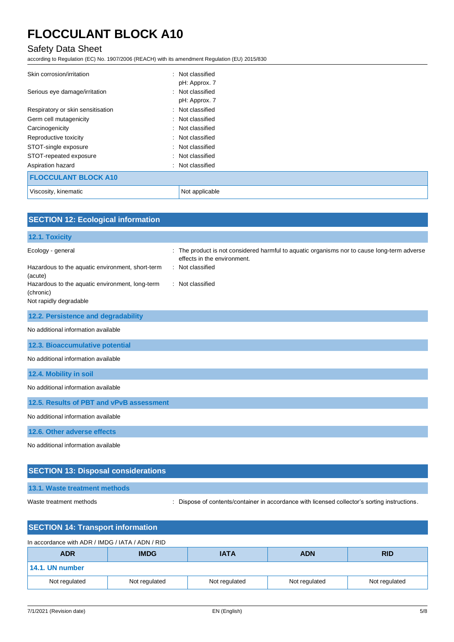# Safety Data Sheet

according to Regulation (EC) No. 1907/2006 (REACH) with its amendment Regulation (EU) 2015/830

| Skin corrosion/irritation         | : Not classified<br>pH: Approx. 7 |
|-----------------------------------|-----------------------------------|
| Serious eye damage/irritation     | : Not classified<br>pH: Approx. 7 |
| Respiratory or skin sensitisation | : Not classified                  |
| Germ cell mutagenicity            | : Not classified                  |
| Carcinogenicity                   | : Not classified                  |
| Reproductive toxicity             | : Not classified                  |
| STOT-single exposure              | : Not classified                  |
| STOT-repeated exposure            | : Not classified                  |
| Aspiration hazard                 | : Not classified                  |
| <b>FLOCCULANT BLOCK A10</b>       |                                   |
| Viscosity, kinematic              | Not applicable                    |

| <b>SECTION 12: Ecological information</b>                    |                                                                                                                            |
|--------------------------------------------------------------|----------------------------------------------------------------------------------------------------------------------------|
| 12.1. Toxicity                                               |                                                                                                                            |
| Ecology - general                                            | : The product is not considered harmful to aquatic organisms nor to cause long-term adverse<br>effects in the environment. |
| Hazardous to the aquatic environment, short-term<br>(acute)  | : Not classified                                                                                                           |
| Hazardous to the aquatic environment, long-term<br>(chronic) | : Not classified                                                                                                           |
| Not rapidly degradable                                       |                                                                                                                            |
| 12.2. Persistence and degradability                          |                                                                                                                            |
| No additional information available                          |                                                                                                                            |
| 12.3. Bioaccumulative potential                              |                                                                                                                            |
| No additional information available                          |                                                                                                                            |
| 12.4. Mobility in soil                                       |                                                                                                                            |
| No additional information available                          |                                                                                                                            |
| 12.5. Results of PBT and vPvB assessment                     |                                                                                                                            |
| No additional information available                          |                                                                                                                            |
| 12.6. Other adverse effects                                  |                                                                                                                            |
| No additional information available                          |                                                                                                                            |
| <b>SECTION 13: Disposal considerations</b>                   |                                                                                                                            |

# **13.1. Waste treatment methods**

Waste treatment methods : Dispose of contents/container in accordance with licensed collector's sorting instructions.

| <b>SECTION 14: Transport information</b>         |               |               |               |               |
|--------------------------------------------------|---------------|---------------|---------------|---------------|
| In accordance with ADR / IMDG / IATA / ADN / RID |               |               |               |               |
| <b>ADR</b>                                       | <b>IMDG</b>   | <b>IATA</b>   | <b>ADN</b>    | <b>RID</b>    |
| 14.1. UN number                                  |               |               |               |               |
| Not regulated                                    | Not regulated | Not regulated | Not regulated | Not regulated |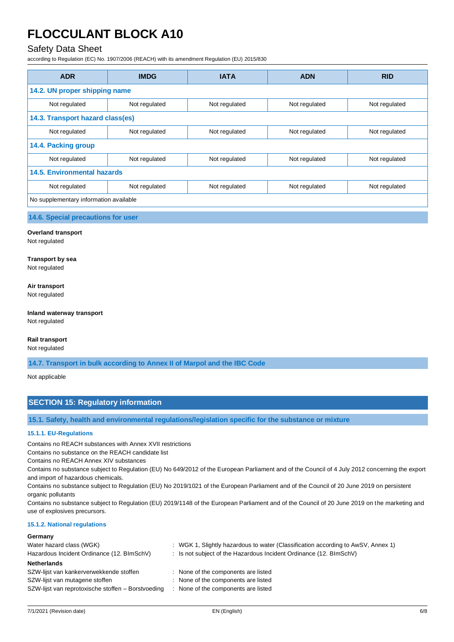# Safety Data Sheet

according to Regulation (EC) No. 1907/2006 (REACH) with its amendment Regulation (EU) 2015/830

| <b>ADR</b>                             | <b>IMDG</b>   | <b>IATA</b>   | <b>ADN</b>    | <b>RID</b>    |
|----------------------------------------|---------------|---------------|---------------|---------------|
| 14.2. UN proper shipping name          |               |               |               |               |
| Not regulated                          | Not regulated | Not regulated | Not regulated | Not regulated |
| 14.3. Transport hazard class(es)       |               |               |               |               |
| Not regulated                          | Not regulated | Not regulated | Not regulated | Not regulated |
| 14.4. Packing group                    |               |               |               |               |
| Not regulated                          | Not regulated | Not regulated | Not regulated | Not regulated |
| 14.5. Environmental hazards            |               |               |               |               |
| Not regulated                          | Not regulated | Not regulated | Not regulated | Not regulated |
| No supplementary information available |               |               |               |               |

**14.6. Special precautions for user**

#### **Overland transport**

Not regulated

# **Transport by sea**

Not regulated

#### **Air transport**

Not regulated

### **Inland waterway transport** Not regulated

# **Rail transport**

Not regulated

**14.7. Transport in bulk according to Annex II of Marpol and the IBC Code**

Not applicable

# **SECTION 15: Regulatory information**

**15.1. Safety, health and environmental regulations/legislation specific for the substance or mixture**

#### **15.1.1. EU-Regulations**

Contains no REACH substances with Annex XVII restrictions

Contains no substance on the REACH candidate list

Contains no REACH Annex XIV substances

Contains no substance subject to Regulation (EU) No 649/2012 of the European Parliament and of the Council of 4 July 2012 concerning the export and import of hazardous chemicals.

Contains no substance subject to Regulation (EU) No 2019/1021 of the European Parliament and of the Council of 20 June 2019 on persistent organic pollutants

Contains no substance subject to Regulation (EU) 2019/1148 of the European Parliament and of the Council of 20 June 2019 on the marketing and use of explosives precursors.

### **15.1.2. National regulations**

#### **Germany**

| Water hazard class (WGK)                           | : WGK 1, Slightly hazardous to water (Classification according to AwSV, Annex 1) |
|----------------------------------------------------|----------------------------------------------------------------------------------|
| Hazardous Incident Ordinance (12. BImSchV)         | : Is not subject of the Hazardous Incident Ordinance (12. BImSchV)               |
| <b>Netherlands</b>                                 |                                                                                  |
| SZW-lijst van kankerverwekkende stoffen            | : None of the components are listed                                              |
| SZW-lijst van mutagene stoffen                     | : None of the components are listed                                              |
| SZW-lijst van reprotoxische stoffen – Borstvoeding | : None of the components are listed                                              |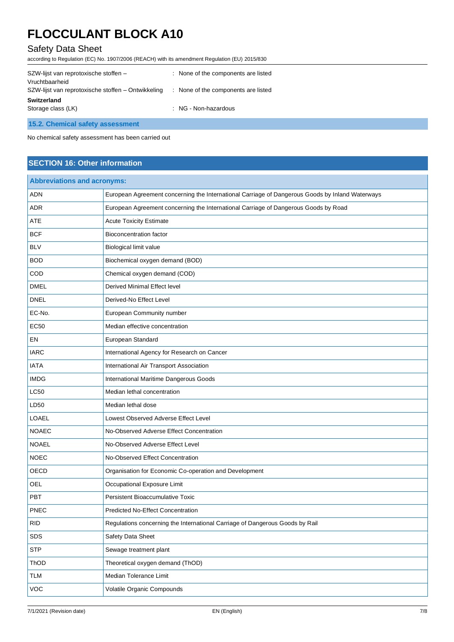# Safety Data Sheet

according to Regulation (EC) No. 1907/2006 (REACH) with its amendment Regulation (EU) 2015/830

| SZW-lijst van reprotoxische stoffen -<br>Vruchtbaarheid | : None of the components are listed                 |
|---------------------------------------------------------|-----------------------------------------------------|
| SZW-lijst van reprotoxische stoffen - Ontwikkeling      | None of the components are listed<br>$\mathbb{R}^n$ |
| Switzerland<br>Storage class (LK)                       | : NG - Non-hazardous                                |
| 15.2. Chemical safety assessment                        |                                                     |

No chemical safety assessment has been carried out

# **SECTION 16: Other information**

| <b>Abbreviations and acronyms:</b> |                                                                                                 |  |
|------------------------------------|-------------------------------------------------------------------------------------------------|--|
| <b>ADN</b>                         | European Agreement concerning the International Carriage of Dangerous Goods by Inland Waterways |  |
| ADR                                | European Agreement concerning the International Carriage of Dangerous Goods by Road             |  |
| ATE                                | <b>Acute Toxicity Estimate</b>                                                                  |  |
| <b>BCF</b>                         | <b>Bioconcentration factor</b>                                                                  |  |
| <b>BLV</b>                         | Biological limit value                                                                          |  |
| <b>BOD</b>                         | Biochemical oxygen demand (BOD)                                                                 |  |
| COD                                | Chemical oxygen demand (COD)                                                                    |  |
| <b>DMEL</b>                        | Derived Minimal Effect level                                                                    |  |
| <b>DNEL</b>                        | Derived-No Effect Level                                                                         |  |
| EC-No.                             | European Community number                                                                       |  |
| <b>EC50</b>                        | Median effective concentration                                                                  |  |
| EN                                 | European Standard                                                                               |  |
| <b>IARC</b>                        | International Agency for Research on Cancer                                                     |  |
| <b>IATA</b>                        | International Air Transport Association                                                         |  |
| <b>IMDG</b>                        | International Maritime Dangerous Goods                                                          |  |
| <b>LC50</b>                        | Median lethal concentration                                                                     |  |
| LD50                               | Median lethal dose                                                                              |  |
| LOAEL                              | Lowest Observed Adverse Effect Level                                                            |  |
| <b>NOAEC</b>                       | No-Observed Adverse Effect Concentration                                                        |  |
| <b>NOAEL</b>                       | No-Observed Adverse Effect Level                                                                |  |
| <b>NOEC</b>                        | No-Observed Effect Concentration                                                                |  |
| OECD                               | Organisation for Economic Co-operation and Development                                          |  |
| OEL                                | Occupational Exposure Limit                                                                     |  |
| PBT                                | Persistent Bioaccumulative Toxic                                                                |  |
| <b>PNEC</b>                        | <b>Predicted No-Effect Concentration</b>                                                        |  |
| <b>RID</b>                         | Regulations concerning the International Carriage of Dangerous Goods by Rail                    |  |
| SDS                                | Safety Data Sheet                                                                               |  |
| <b>STP</b>                         | Sewage treatment plant                                                                          |  |
| ThOD                               | Theoretical oxygen demand (ThOD)                                                                |  |
| <b>TLM</b>                         | Median Tolerance Limit                                                                          |  |
| <b>VOC</b>                         | Volatile Organic Compounds                                                                      |  |